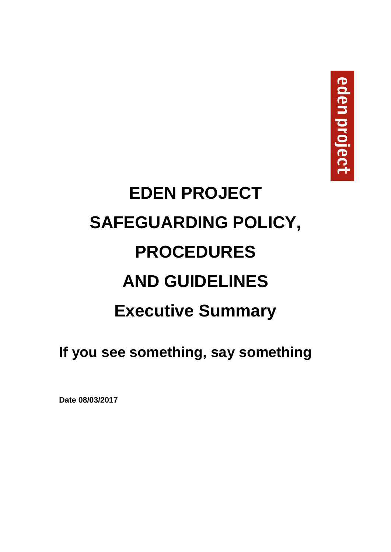# **EDEN PROJECT SAFEGUARDING POLICY, PROCEDURES AND GUIDELINES Executive Summary**

**If you see something, say something** 

**Date 08/03/2017**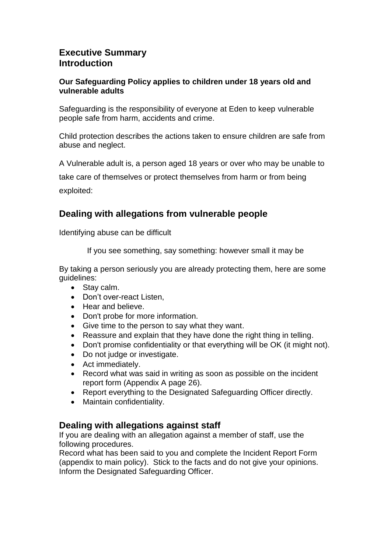### **Executive Summary Introduction**

#### **Our Safeguarding Policy applies to children under 18 years old and vulnerable adults**

Safeguarding is the responsibility of everyone at Eden to keep vulnerable people safe from harm, accidents and crime.

Child protection describes the actions taken to ensure children are safe from abuse and neglect.

A Vulnerable adult is, a person aged 18 years or over who may be unable to

take care of themselves or protect themselves from harm or from being exploited:

# **Dealing with allegations from vulnerable people**

Identifying abuse can be difficult

If you see something, say something: however small it may be

By taking a person seriously you are already protecting them, here are some guidelines:

- Stay calm.
- Don't over-react Listen,
- Hear and believe.
- Don't probe for more information.
- Give time to the person to say what they want.
- Reassure and explain that they have done the right thing in telling.
- Don't promise confidentiality or that everything will be OK (it might not).
- Do not judge or investigate.
- Act immediately.
- Record what was said in writing as soon as possible on the incident report form (Appendix A page 26).
- Report everything to the Designated Safeguarding Officer directly.
- Maintain confidentiality.

#### **Dealing with allegations against staff**

If you are dealing with an allegation against a member of staff, use the following procedures.

Record what has been said to you and complete the Incident Report Form (appendix to main policy). Stick to the facts and do not give your opinions. Inform the Designated Safeguarding Officer.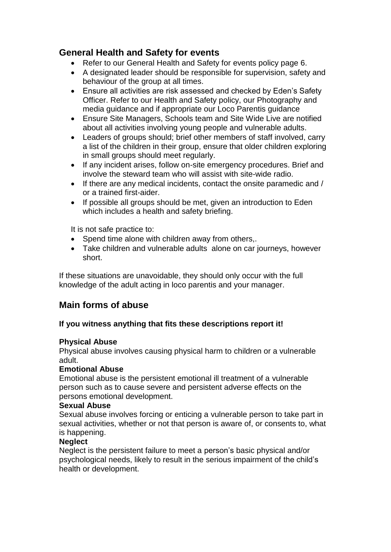# **General Health and Safety for events**

- Refer to our General Health and Safety for events policy page 6.
- A designated leader should be responsible for supervision, safety and behaviour of the group at all times.
- Ensure all activities are risk assessed and checked by Eden's Safety Officer. Refer to our Health and Safety policy, our Photography and media guidance and if appropriate our Loco Parentis guidance
- Ensure Site Managers, Schools team and Site Wide Live are notified about all activities involving young people and vulnerable adults.
- Leaders of groups should; brief other members of staff involved, carry a list of the children in their group, ensure that older children exploring in small groups should meet regularly.
- If any incident arises, follow on-site emergency procedures. Brief and involve the steward team who will assist with site-wide radio.
- If there are any medical incidents, contact the onsite paramedic and / or a trained first-aider.
- If possible all groups should be met, given an introduction to Eden which includes a health and safety briefing.

It is not safe practice to:

- Spend time alone with children away from others,.
- Take children and vulnerable adults alone on car journeys, however short.

If these situations are unavoidable, they should only occur with the full knowledge of the adult acting in loco parentis and your manager.

# **Main forms of abuse**

#### **If you witness anything that fits these descriptions report it!**

#### **Physical Abuse**

Physical abuse involves causing physical harm to children or a vulnerable adult.

#### **Emotional Abuse**

Emotional abuse is the persistent emotional ill treatment of a vulnerable person such as to cause severe and persistent adverse effects on the persons emotional development.

#### **Sexual Abuse**

Sexual abuse involves forcing or enticing a vulnerable person to take part in sexual activities, whether or not that person is aware of, or consents to, what is happening.

#### **Neglect**

Neglect is the persistent failure to meet a person's basic physical and/or psychological needs, likely to result in the serious impairment of the child's health or development.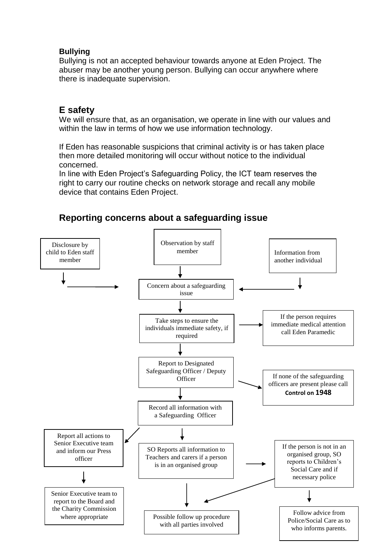#### **Bullying**

Bullying is not an accepted behaviour towards anyone at Eden Project. The abuser may be another young person. Bullying can occur anywhere where there is inadequate supervision.

# **E safety**

We will ensure that, as an organisation, we operate in line with our values and within the law in terms of how we use information technology.

If Eden has reasonable suspicions that criminal activity is or has taken place then more detailed monitoring will occur without notice to the individual concerned.

In line with Eden Project's Safeguarding Policy, the ICT team reserves the right to carry our routine checks on network storage and recall any mobile device that contains Eden Project.



# **Reporting concerns about a safeguarding issue**